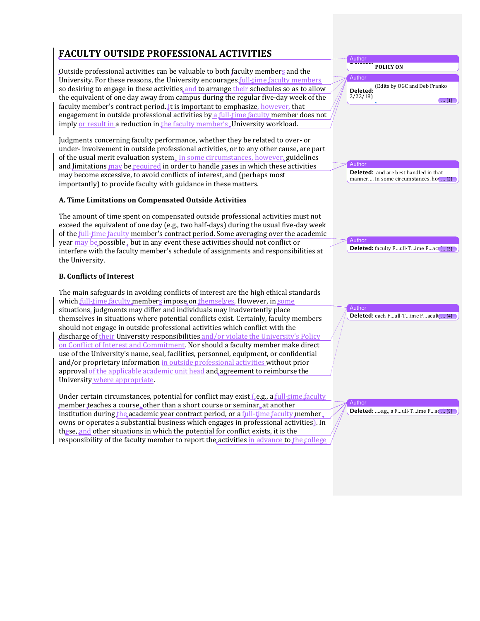## **FACULTY OUTSIDE PROFESSIONAL ACTIVITIES**

Outside professional activities can be valuable to both faculty members and the University. For these reasons, the University encourages full-time faculty members so desiring to engage in these activities and to arrange their schedules so as to allow the equivalent of one day away from campus during the regular five-day week of the faculty member's contract period. It is important to emphasize, however, that engagement in outside professional activities by a full-time faculty member does not imply or result in a reduction in the faculty member's. University workload.

Judgments concerning faculty performance, whether they be related to over- or under- involvement in outside professional activities, or to any other cause, are part of the usual merit evaluation system. In some circumstances, however, guidelines and limitations may be required in order to handle cases in which these activities may become excessive, to avoid conflicts of interest, and (perhaps most importantly) to provide faculty with guidance in these matters.

## A. Time Limitations on Compensated Outside Activities

The amount of time spent on compensated outside professional activities must not exceed the equivalent of one day (e.g., two half-days) during the usual five-day week of the full-time faculty member's contract period. Some averaging over the academic year may be possible, but in any event these activities should not conflict or interfere with the faculty member's schedule of assignments and responsibilities at the University.

## **B.** Conflicts of Interest

The main safeguards in avoiding conflicts of interest are the high ethical standards which full-time faculty members impose on themselves. However, in some  $situations$  judgments may differ and individuals may inadvertently place themselves in situations where potential conflicts exist. Certainly, faculty members should not engage in outside professional activities which conflict with the discharge of their University responsibilities and/or violate the University's Policy on Conflict of Interest and Commitment. Nor should a faculty member make direct use of the University's name, seal, facilities, personnel, equipment, or confidential and/or proprietary information in outside professional activities without prior approval of the applicable academic unit head and agreement to reimburse the University where appropriate.

Under certain circumstances, potential for conflict may exist (e.g., a full-time faculty member teaches a course, other than a short course or seminar, at another institution during the academic year contract period, or a full-time faculty member owns or operates a substantial business which engages in professional activities). In these, and other situations in which the potential for conflict exists, it is the responsibility of the faculty member to report the activities in advance to the college